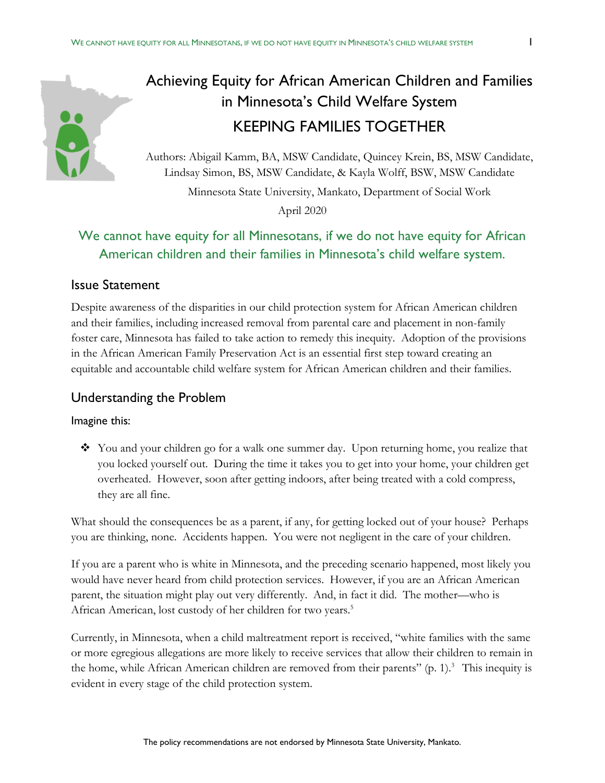# Achieving Equity for African American Children and Families in Minnesota's Child Welfare System KEEPING FAMILIES TOGETHER

Authors: Abigail Kamm, BA, MSW Candidate, Quincey Krein, BS, MSW Candidate, Lindsay Simon, BS, MSW Candidate, & Kayla Wolff, BSW, MSW Candidate

Minnesota State University, Mankato, Department of Social Work

April 2020

# We cannot have equity for all Minnesotans, if we do not have equity for African American children and their families in Minnesota's child welfare system.

### Issue Statement

Despite awareness of the disparities in our child protection system for African American children and their families, including increased removal from parental care and placement in non-family foster care, Minnesota has failed to take action to remedy this inequity. Adoption of the provisions in the African American Family Preservation Act is an essential first step toward creating an equitable and accountable child welfare system for African American children and their families.

## Understanding the Problem

#### Imagine this:

 You and your children go for a walk one summer day. Upon returning home, you realize that you locked yourself out. During the time it takes you to get into your home, your children get overheated. However, soon after getting indoors, after being treated with a cold compress, they are all fine.

What should the consequences be as a parent, if any, for getting locked out of your house? Perhaps you are thinking, none. Accidents happen. You were not negligent in the care of your children.

If you are a parent who is white in Minnesota, and the preceding scenario happened, most likely you would have never heard from child protection services. However, if you are an African American parent, the situation might play out very differently. And, in fact it did. The mother—who is African American, lost custody of her children for two years.<sup>5</sup>

Currently, in Minnesota, when a child maltreatment report is received, "white families with the same or more egregious allegations are more likely to receive services that allow their children to remain in the home, while African American children are removed from their parents" (p. 1). 3 This inequity is evident in every stage of the child protection system.

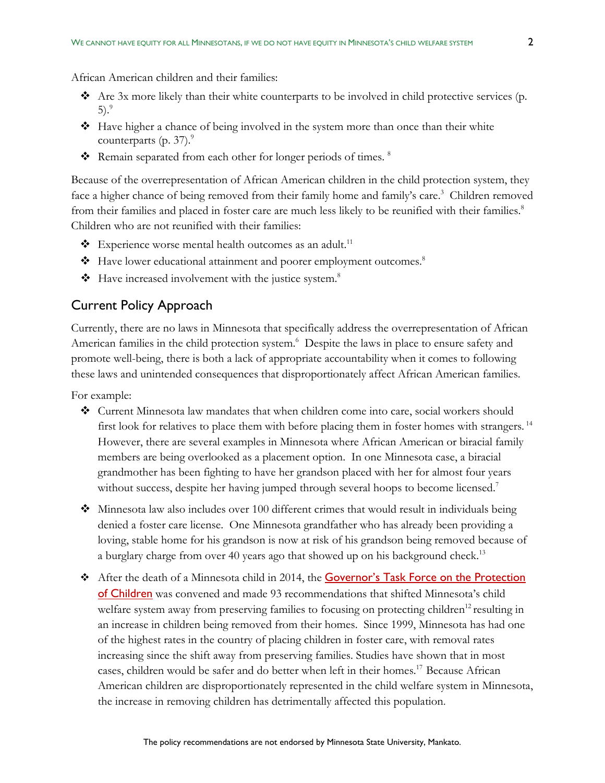- Are 3x more likely than their white counterparts to be involved in child protective services (p. 5). 9
- Have higher a chance of being involved in the system more than once than their white counterparts (p. 37). $\degree$
- Remain separated from each other for longer periods of times.  $8$

Because of the overrepresentation of African American children in the child protection system, they face a higher chance of being removed from their family home and family's care.<sup>3</sup> Children removed from their families and placed in foster care are much less likely to be reunified with their families.<sup>8</sup> Children who are not reunified with their families:

- $\triangleleft$  Experience worse mental health outcomes as an adult.<sup>11</sup>
- Have lower educational attainment and poorer employment outcomes. 8
- $\bullet$  Have increased involvement with the justice system.<sup>8</sup>

#### Current Policy Approach

Currently, there are no laws in Minnesota that specifically address the overrepresentation of African American families in the child protection system.<sup>6</sup> Despite the laws in place to ensure safety and promote well-being, there is both a lack of appropriate accountability when it comes to following these laws and unintended consequences that disproportionately affect African American families.

For example:

- Current Minnesota law mandates that when children come into care, social workers should first look for relatives to place them with before placing them in foster homes with strangers.<sup>14</sup> However, there are several examples in Minnesota where African American or biracial family members are being overlooked as a placement option. In one Minnesota case, a biracial grandmother has been fighting to have her grandson placed with her for almost four years without success, despite her having jumped through several hoops to become licensed.<sup>7</sup>
- $\bullet$  Minnesota law also includes over 100 different crimes that would result in individuals being denied a foster care license. One Minnesota grandfather who has already been providing a loving, stable home for his grandson is now at risk of his grandson being removed because of a burglary charge from over 40 years ago that showed up on his background check.<sup>13</sup>
- After the death of a Minnesota child in 2014, the [Governor's Task Force on the Protection](https://mn.gov/dhs/general-public/about-dhs/advisory-councils-task-forces/governors-child-protection-task-force.jsp)  [of Children](https://mn.gov/dhs/general-public/about-dhs/advisory-councils-task-forces/governors-child-protection-task-force.jsp) was convened and made 93 recommendations that shifted Minnesota's child welfare system away from preserving families to focusing on protecting children<sup>12</sup> resulting in an increase in children being removed from their homes. Since 1999, Minnesota has had one of the highest rates in the country of placing children in foster care, with removal rates increasing since the shift away from preserving families. Studies have shown that in most cases, children would be safer and do better when left in their homes.<sup>17</sup> Because African American children are disproportionately represented in the child welfare system in Minnesota, the increase in removing children has detrimentally affected this population.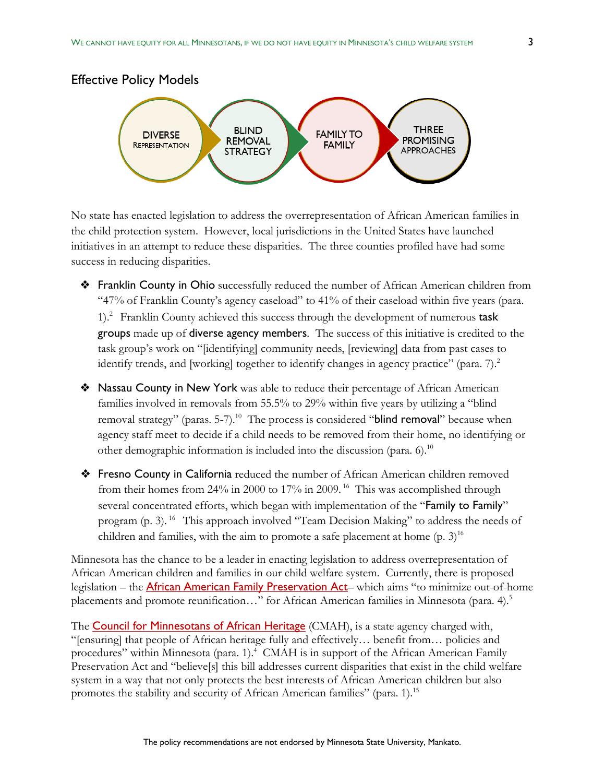



No state has enacted legislation to address the overrepresentation of African American families in the child protection system. However, local jurisdictions in the United States have launched initiatives in an attempt to reduce these disparities. The three counties profiled have had some success in reducing disparities.

- ❖ Franklin County in Ohio successfully reduced the number of African American children from "47% of Franklin County's agency caseload" to 41% of their caseload within five years (para. 1).2 Franklin County achieved this success through the development of numerous task groups made up of diverse agency members. The success of this initiative is credited to the task group's work on "[identifying] community needs, [reviewing] data from past cases to identify trends, and [working] together to identify changes in agency practice" (para. 7).<sup>2</sup>
- ❖ Nassau County in New York was able to reduce their percentage of African American families involved in removals from 55.5% to 29% within five years by utilizing a "blind removal strategy" (paras. 5-7).<sup>10</sup> The process is considered "blind removal" because when agency staff meet to decide if a child needs to be removed from their home, no identifying or other demographic information is included into the discussion (para. 6).<sup>10</sup>
- ❖ Fresno County in California reduced the number of African American children removed from their homes from 24% in 2000 to 17% in 2009. <sup>16</sup> This was accomplished through several concentrated efforts, which began with implementation of the "Family to Family" program (p. 3). 16 This approach involved "Team Decision Making" to address the needs of children and families, with the aim to promote a safe placement at home  $(p. 3)^{16}$

Minnesota has the chance to be a leader in enacting legislation to address overrepresentation of African American children and families in our child welfare system. Currently, there is proposed legislation – the **[African American Family Preservation Act](https://www.house.leg.state.mn.us/members/profile/news/15356/19884)**– which aims "to minimize out-of-home placements and promote reunification..." for African American families in Minnesota (para. 4).<sup>5</sup>

The **Council for [Minnesotans](https://mn.gov/cmah/) of African Heritage** (CMAH), is a state agency charged with, "[ensuring] that people of African heritage fully and effectively… benefit from… policies and procedures" within Minnesota (para. 1). 4 CMAH is in support of the African American Family Preservation Act and "believe[s] this bill addresses current disparities that exist in the child welfare system in a way that not only protects the best interests of African American children but also promotes the stability and security of African American families" (para. 1).<sup>15</sup>